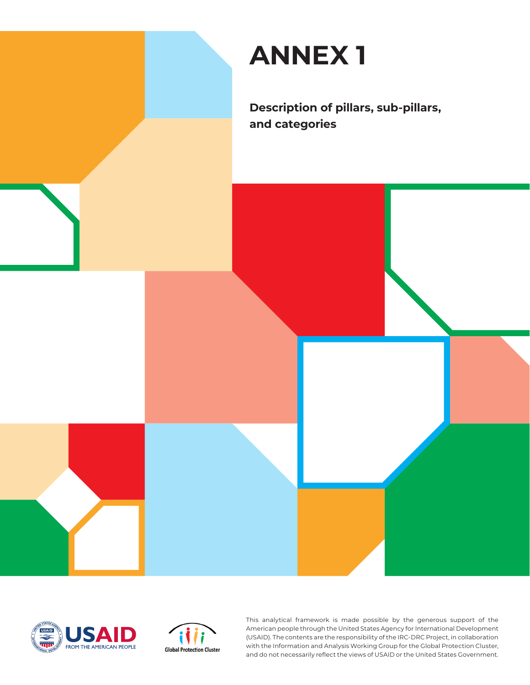





This analytical framework is made possible by the generous support of the American people through the United States Agency for International Development (USAID). The contents are the responsibility of the IRC-DRC Project, in collaboration with the Information and Analysis Working Group for the Global Protection Cluster, and do not necessarily reflect the views of USAID or the United States Government.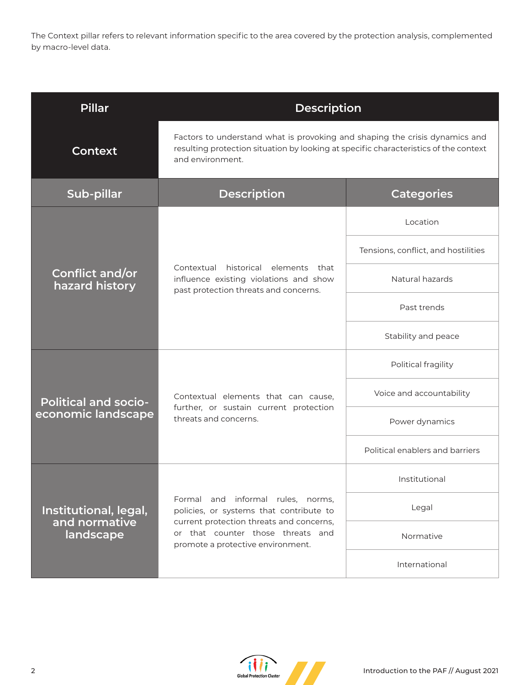The Context pillar refers to relevant information specific to the area covered by the protection analysis, complemented by macro-level data.

| <b>Pillar</b>                                       | <b>Description</b>                                                                                                                                                                                 |                                     |
|-----------------------------------------------------|----------------------------------------------------------------------------------------------------------------------------------------------------------------------------------------------------|-------------------------------------|
| <b>Context</b>                                      | Factors to understand what is provoking and shaping the crisis dynamics and<br>resulting protection situation by looking at specific characteristics of the context<br>and environment.            |                                     |
| Sub-pillar                                          | <b>Description</b>                                                                                                                                                                                 | <b>Categories</b>                   |
| Conflict and/or<br>hazard history                   | Contextual historical elements that<br>influence existing violations and show<br>past protection threats and concerns.                                                                             | Location                            |
|                                                     |                                                                                                                                                                                                    | Tensions, conflict, and hostilities |
|                                                     |                                                                                                                                                                                                    | Natural hazards                     |
|                                                     |                                                                                                                                                                                                    | Past trends                         |
|                                                     |                                                                                                                                                                                                    | Stability and peace                 |
| <b>Political and socio-</b><br>economic landscape   | Contextual elements that can cause,<br>further, or sustain current protection<br>threats and concerns.                                                                                             | Political fragility                 |
|                                                     |                                                                                                                                                                                                    | Voice and accountability            |
|                                                     |                                                                                                                                                                                                    | Power dynamics                      |
|                                                     |                                                                                                                                                                                                    | Political enablers and barriers     |
| Institutional, legal,<br>and normative<br>landscape | Formal and informal rules, norms,<br>policies, or systems that contribute to<br>current protection threats and concerns,<br>or that counter those threats and<br>promote a protective environment. | Institutional                       |
|                                                     |                                                                                                                                                                                                    | Legal                               |
|                                                     |                                                                                                                                                                                                    | Normative                           |
|                                                     |                                                                                                                                                                                                    | International                       |

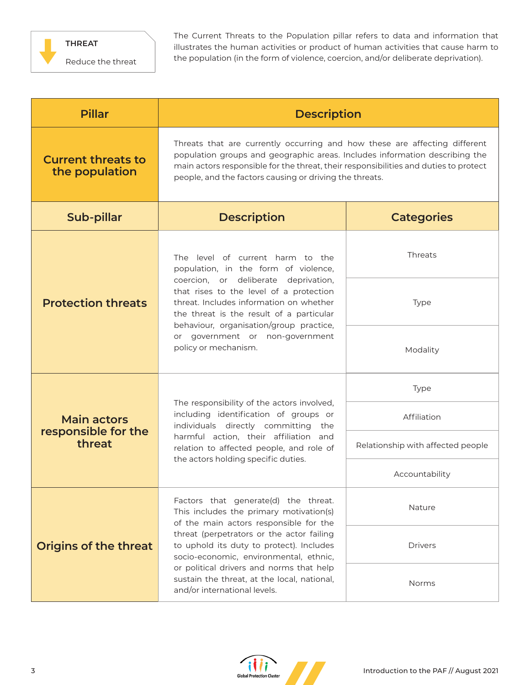

The Current Threats to the Population pillar refers to data and information that illustrates the human activities or product of human activities that cause harm to the population (in the form of violence, coercion, and/or deliberate deprivation).

| <b>Pillar</b>                                       | <b>Description</b>                                                                                                                                                                                                                                                                                                                                                                      |                                   |
|-----------------------------------------------------|-----------------------------------------------------------------------------------------------------------------------------------------------------------------------------------------------------------------------------------------------------------------------------------------------------------------------------------------------------------------------------------------|-----------------------------------|
| <b>Current threats to</b><br>the population         | Threats that are currently occurring and how these are affecting different<br>population groups and geographic areas. Includes information describing the<br>main actors responsible for the threat, their responsibilities and duties to protect<br>people, and the factors causing or driving the threats.                                                                            |                                   |
| Sub-pillar                                          | <b>Description</b>                                                                                                                                                                                                                                                                                                                                                                      | <b>Categories</b>                 |
| <b>Protection threats</b>                           | The level of current harm to the<br>population, in the form of violence,<br>coercion, or deliberate deprivation,<br>that rises to the level of a protection<br>threat. Includes information on whether<br>the threat is the result of a particular<br>behaviour, organisation/group practice,<br>or government or non-government<br>policy or mechanism.                                | Threats                           |
|                                                     |                                                                                                                                                                                                                                                                                                                                                                                         | Type                              |
|                                                     |                                                                                                                                                                                                                                                                                                                                                                                         | Modality                          |
| <b>Main actors</b><br>responsible for the<br>threat | The responsibility of the actors involved,<br>including identification of groups or<br>individuals directly committing the<br>harmful action, their affiliation and<br>relation to affected people, and role of<br>the actors holding specific duties.                                                                                                                                  | Type                              |
|                                                     |                                                                                                                                                                                                                                                                                                                                                                                         | Affiliation                       |
|                                                     |                                                                                                                                                                                                                                                                                                                                                                                         | Relationship with affected people |
|                                                     |                                                                                                                                                                                                                                                                                                                                                                                         | Accountability                    |
| <b>Origins of the threat</b>                        | Factors that generate(d) the threat.<br>This includes the primary motivation(s)<br>of the main actors responsible for the<br>threat (perpetrators or the actor failing<br>to uphold its duty to protect). Includes<br>socio-economic, environmental, ethnic,<br>or political drivers and norms that help<br>sustain the threat, at the local, national,<br>and/or international levels. | Nature                            |
|                                                     |                                                                                                                                                                                                                                                                                                                                                                                         | <b>Drivers</b>                    |
|                                                     |                                                                                                                                                                                                                                                                                                                                                                                         | Norms                             |

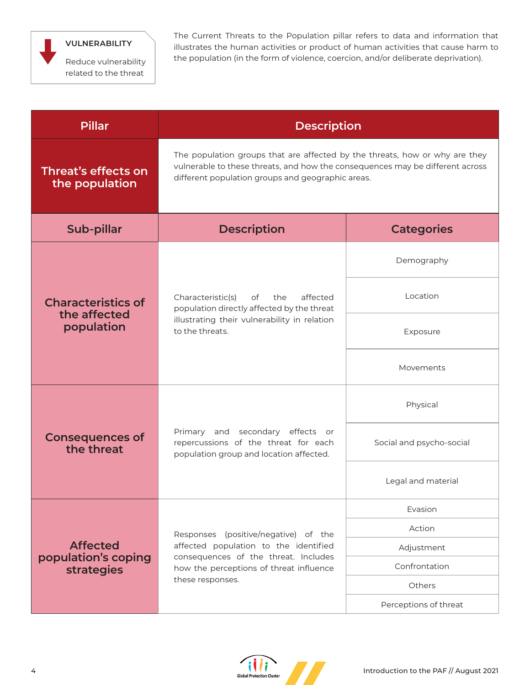

## **VULNERABILITY**

Reduce vulnerability related to the threat

The Current Threats to the Population pillar refers to data and information that illustrates the human activities or product of human activities that cause harm to the population (in the form of violence, coercion, and/or deliberate deprivation).

| <b>Pillar</b>                                               | <b>Description</b>                                                                                                                                                                                                |                          |
|-------------------------------------------------------------|-------------------------------------------------------------------------------------------------------------------------------------------------------------------------------------------------------------------|--------------------------|
| Threat's effects on<br>the population                       | The population groups that are affected by the threats, how or why are they<br>vulnerable to these threats, and how the consequences may be different across<br>different population groups and geographic areas. |                          |
| Sub-pillar                                                  | <b>Description</b>                                                                                                                                                                                                | <b>Categories</b>        |
| <b>Characteristics of</b><br>the affected<br>population     | affected<br>Characteristic(s)<br>of<br>the<br>population directly affected by the threat<br>illustrating their vulnerability in relation<br>to the threats.                                                       | Demography               |
|                                                             |                                                                                                                                                                                                                   | Location                 |
|                                                             |                                                                                                                                                                                                                   | Exposure                 |
|                                                             |                                                                                                                                                                                                                   | Movements                |
| <b>Consequences of</b><br>the threat                        | Primary and secondary effects or<br>repercussions of the threat for each<br>population group and location affected.                                                                                               | Physical                 |
|                                                             |                                                                                                                                                                                                                   | Social and psycho-social |
|                                                             |                                                                                                                                                                                                                   | Legal and material       |
| <b>Affected</b><br>population's coping<br><b>strategies</b> | Responses (positive/negative) of the<br>affected population to the identified<br>consequences of the threat. Includes<br>how the perceptions of threat influence<br>these responses.                              | Evasion                  |
|                                                             |                                                                                                                                                                                                                   | Action                   |
|                                                             |                                                                                                                                                                                                                   | Adjustment               |
|                                                             |                                                                                                                                                                                                                   | Confrontation            |
|                                                             |                                                                                                                                                                                                                   | Others                   |
|                                                             |                                                                                                                                                                                                                   | Perceptions of threat    |